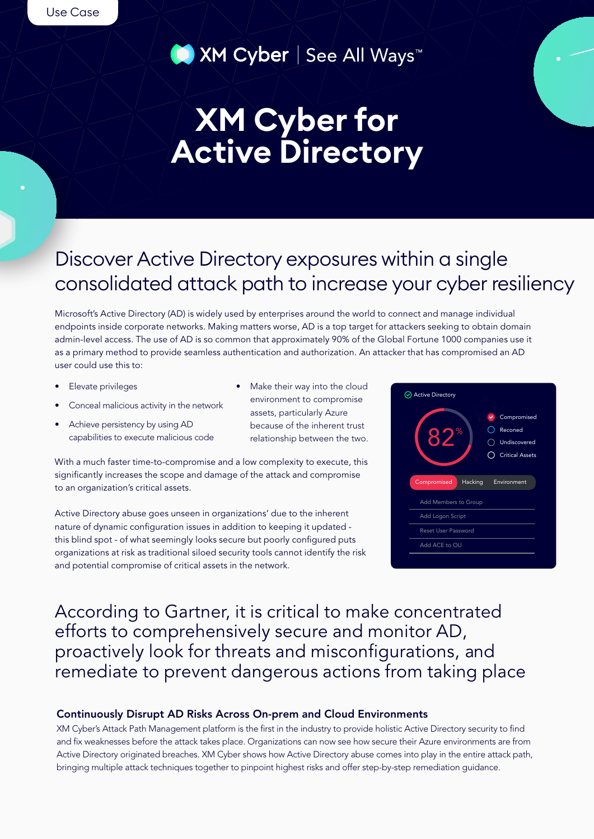■ XM Cyber | See All Ways<sup>™</sup>

# **KM** Cyber for **Active Directory**

# Discover Active Directory exposures within a single consolidated attack path to increase your cyber resiliency

Microsoft's Active Directory (AD) is widely used by enterprises around the world to connect and manage individual endpoints inside corporate networks. Making matters worse, AD is a top target for attackers seeking to obtain domain admin-level access. The use of AD is so common that approximately 90% of the Global Fortune 1000 companies use it as a primary method to provide seamless authentication and authorization. An attacker that has compromised an AD user could use this to:

- Elevate privileges
- Conceal malicious activity in the network
- Achieve persistency by using AD capabilities to execute malicious code
- Make their way into the cloud environment to compromise assets, particularly Azure because of the inherent trust relationship between the two.

With a much faster time-to-compromise and a low complexity to execute, this significantly increases the scope and damage of the attack and compromise to an organization's critical assets.

Active Directory abuse goes unseen in organizations' due to the inherent nature of dynamic configuration issues in addition to keeping it updated this blind spot - of what seemingly looks secure but poorly configured puts organizations at risk as traditional siloed security tools cannot identify the risk and potential compromise of critical assets in the network.

| <b>Active Directory</b>    |                                                                       |
|----------------------------|-----------------------------------------------------------------------|
| ℅<br>XI                    | Compromised<br>✓<br>Reconed<br>Undiscovered<br><b>Critical Assets</b> |
| Compromised<br>Hacking     | Environment                                                           |
| Add Members to Group       |                                                                       |
| Add Logon Script           |                                                                       |
| <b>Reset User Password</b> |                                                                       |
| Add ACE to OU              |                                                                       |

According to Gartner, it is critical to make concentrated efforts to comprehensively secure and monitor AD, proactively look for threats and misconfigurations, and remediate to prevent dangerous actions from taking place

### Continuously Disrupt AD Risks Across On-prem and Cloud Environments

KM Cyber's Attack Path Management platform is the first in the industry to provide holistic Active Directory security to find and fix weaknesses before the attack takes place. Organizations can now see how secure their Azure environments are from Active Directory originated breaches. XM Cyber shows how Active Directory abuse comes into play in the entire attack path, bringing multiple attack techniques together to pinpoint highest risks and offer step-by-step remediation guidance.